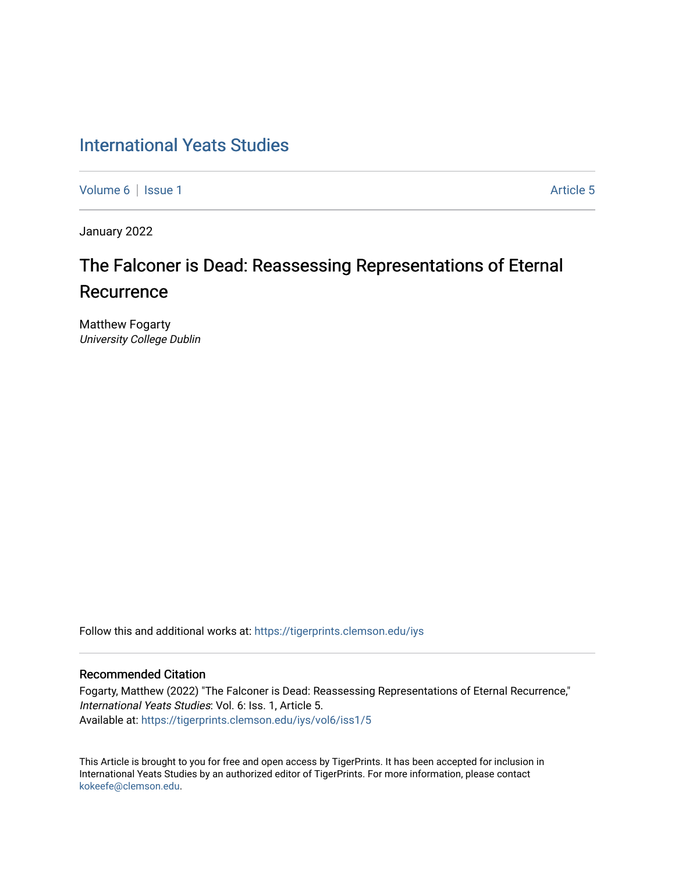# [International Yeats Studies](https://tigerprints.clemson.edu/iys)

[Volume 6](https://tigerprints.clemson.edu/iys/vol6) | [Issue 1](https://tigerprints.clemson.edu/iys/vol6/iss1) Article 5

January 2022

# The Falconer is Dead: Reassessing Representations of Eternal **Recurrence**

Matthew Fogarty University College Dublin

Follow this and additional works at: [https://tigerprints.clemson.edu/iys](https://tigerprints.clemson.edu/iys?utm_source=tigerprints.clemson.edu%2Fiys%2Fvol6%2Fiss1%2F5&utm_medium=PDF&utm_campaign=PDFCoverPages) 

#### Recommended Citation

Fogarty, Matthew (2022) "The Falconer is Dead: Reassessing Representations of Eternal Recurrence," International Yeats Studies: Vol. 6: Iss. 1, Article 5. Available at: [https://tigerprints.clemson.edu/iys/vol6/iss1/5](https://tigerprints.clemson.edu/iys/vol6/iss1/5?utm_source=tigerprints.clemson.edu%2Fiys%2Fvol6%2Fiss1%2F5&utm_medium=PDF&utm_campaign=PDFCoverPages) 

This Article is brought to you for free and open access by TigerPrints. It has been accepted for inclusion in International Yeats Studies by an authorized editor of TigerPrints. For more information, please contact [kokeefe@clemson.edu](mailto:kokeefe@clemson.edu).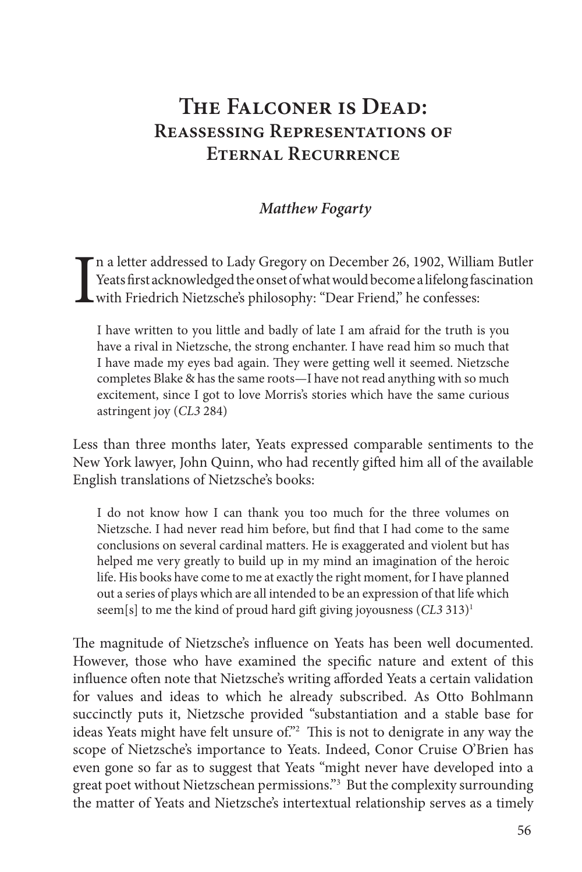# **The Falconer is Dead: Reassessing Representations of Eternal Recurrence**

### *Matthew Fogarty*

I n a letter addressed to Lady Gregory on December 26, 1902, William Butler Yeats first acknowledged the onset of what would become a lifelong fascination with Friedrich Nietzsche's philosophy: "Dear Friend," he confesses:

I have written to you little and badly of late I am afraid for the truth is you have a rival in Nietzsche, the strong enchanter. I have read him so much that I have made my eyes bad again. They were getting well it seemed. Nietzsche completes Blake & has the same roots—I have not read anything with so much excitement, since I got to love Morris's stories which have the same curious astringent joy (*CL3* 284)

Less than three months later, Yeats expressed comparable sentiments to the New York lawyer, John Quinn, who had recently gifted him all of the available English translations of Nietzsche's books:

I do not know how I can thank you too much for the three volumes on Nietzsche. I had never read him before, but find that I had come to the same conclusions on several cardinal matters. He is exaggerated and violent but has helped me very greatly to build up in my mind an imagination of the heroic life. His books have come to me at exactly the right moment, for I have planned out a series of plays which are all intended to be an expression of that life which seem[s] to me the kind of proud hard gift giving joyousness (*CL3* 313)1

The magnitude of Nietzsche's influence on Yeats has been well documented. However, those who have examined the specific nature and extent of this influence often note that Nietzsche's writing afforded Yeats a certain validation for values and ideas to which he already subscribed. As Otto Bohlmann succinctly puts it, Nietzsche provided "substantiation and a stable base for ideas Yeats might have felt unsure of."<sup>2</sup> This is not to denigrate in any way the scope of Nietzsche's importance to Yeats. Indeed, Conor Cruise O'Brien has even gone so far as to suggest that Yeats "might never have developed into a great poet without Nietzschean permissions."3 But the complexity surrounding the matter of Yeats and Nietzsche's intertextual relationship serves as a timely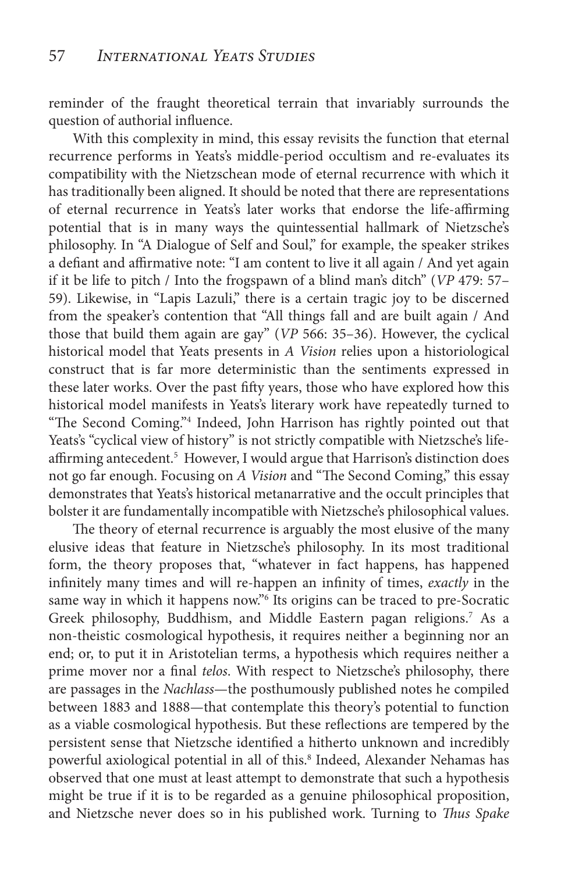reminder of the fraught theoretical terrain that invariably surrounds the question of authorial influence.

With this complexity in mind, this essay revisits the function that eternal recurrence performs in Yeats's middle-period occultism and re-evaluates its compatibility with the Nietzschean mode of eternal recurrence with which it has traditionally been aligned. It should be noted that there are representations of eternal recurrence in Yeats's later works that endorse the life-affirming potential that is in many ways the quintessential hallmark of Nietzsche's philosophy. In "A Dialogue of Self and Soul," for example, the speaker strikes a defiant and affirmative note: "I am content to live it all again / And yet again if it be life to pitch / Into the frogspawn of a blind man's ditch" (*VP* 479: 57– 59). Likewise, in "Lapis Lazuli," there is a certain tragic joy to be discerned from the speaker's contention that "All things fall and are built again / And those that build them again are gay" (*VP* 566: 35–36). However, the cyclical historical model that Yeats presents in *A Vision* relies upon a historiological construct that is far more deterministic than the sentiments expressed in these later works. Over the past fifty years, those who have explored how this historical model manifests in Yeats's literary work have repeatedly turned to "The Second Coming."4 Indeed, John Harrison has rightly pointed out that Yeats's "cyclical view of history" is not strictly compatible with Nietzsche's lifeaffirming antecedent.<sup>5</sup> However, I would argue that Harrison's distinction does not go far enough. Focusing on *A Vision* and "The Second Coming," this essay demonstrates that Yeats's historical metanarrative and the occult principles that bolster it are fundamentally incompatible with Nietzsche's philosophical values.

The theory of eternal recurrence is arguably the most elusive of the many elusive ideas that feature in Nietzsche's philosophy. In its most traditional form, the theory proposes that, "whatever in fact happens, has happened infinitely many times and will re-happen an infinity of times, *exactly* in the same way in which it happens now."<sup>6</sup> Its origins can be traced to pre-Socratic Greek philosophy, Buddhism, and Middle Eastern pagan religions.<sup>7</sup> As a non-theistic cosmological hypothesis, it requires neither a beginning nor an end; or, to put it in Aristotelian terms, a hypothesis which requires neither a prime mover nor a final *telos*. With respect to Nietzsche's philosophy, there are passages in the *Nachlass*—the posthumously published notes he compiled between 1883 and 1888—that contemplate this theory's potential to function as a viable cosmological hypothesis. But these reflections are tempered by the persistent sense that Nietzsche identified a hitherto unknown and incredibly powerful axiological potential in all of this.<sup>8</sup> Indeed, Alexander Nehamas has observed that one must at least attempt to demonstrate that such a hypothesis might be true if it is to be regarded as a genuine philosophical proposition, and Nietzsche never does so in his published work. Turning to *Thus Spake*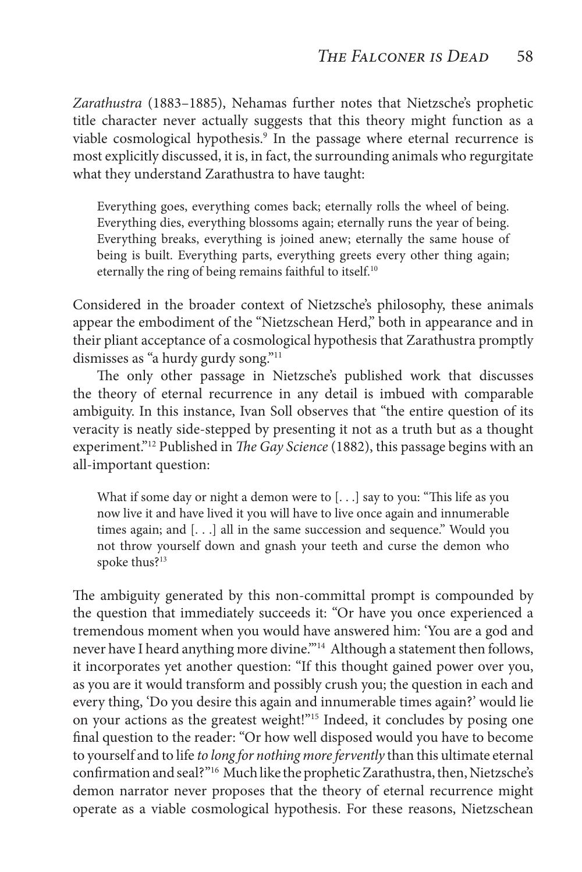*Zarathustra* (1883–1885), Nehamas further notes that Nietzsche's prophetic title character never actually suggests that this theory might function as a viable cosmological hypothesis.<sup>9</sup> In the passage where eternal recurrence is most explicitly discussed, it is, in fact, the surrounding animals who regurgitate what they understand Zarathustra to have taught:

Everything goes, everything comes back; eternally rolls the wheel of being. Everything dies, everything blossoms again; eternally runs the year of being. Everything breaks, everything is joined anew; eternally the same house of being is built. Everything parts, everything greets every other thing again; eternally the ring of being remains faithful to itself.<sup>10</sup>

Considered in the broader context of Nietzsche's philosophy, these animals appear the embodiment of the "Nietzschean Herd," both in appearance and in their pliant acceptance of a cosmological hypothesis that Zarathustra promptly dismisses as "a hurdy gurdy song."<sup>11</sup>

The only other passage in Nietzsche's published work that discusses the theory of eternal recurrence in any detail is imbued with comparable ambiguity. In this instance, Ivan Soll observes that "the entire question of its veracity is neatly side-stepped by presenting it not as a truth but as a thought experiment."12 Published in *The Gay Science* (1882), this passage begins with an all-important question:

What if some day or night a demon were to [. . .] say to you: "This life as you now live it and have lived it you will have to live once again and innumerable times again; and [. . .] all in the same succession and sequence." Would you not throw yourself down and gnash your teeth and curse the demon who spoke thus?13

The ambiguity generated by this non-committal prompt is compounded by the question that immediately succeeds it: "Or have you once experienced a tremendous moment when you would have answered him: 'You are a god and never have I heard anything more divine."<sup>14</sup> Although a statement then follows, it incorporates yet another question: "If this thought gained power over you, as you are it would transform and possibly crush you; the question in each and every thing, 'Do you desire this again and innumerable times again?' would lie on your actions as the greatest weight!"15 Indeed, it concludes by posing one final question to the reader: "Or how well disposed would you have to become to yourself and to life *to long for nothing more fervently* than this ultimate eternal confirmation and seal?"16 Much like the prophetic Zarathustra, then, Nietzsche's demon narrator never proposes that the theory of eternal recurrence might operate as a viable cosmological hypothesis. For these reasons, Nietzschean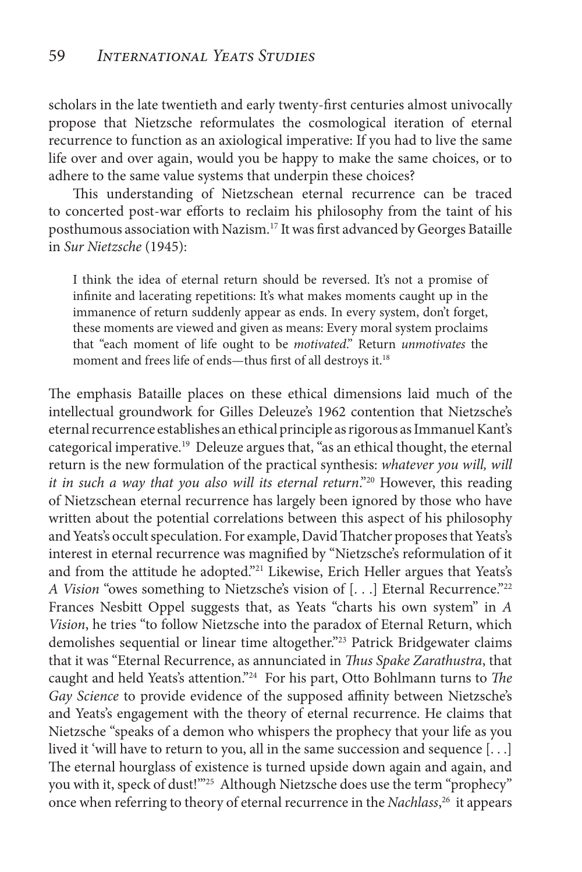scholars in the late twentieth and early twenty-first centuries almost univocally propose that Nietzsche reformulates the cosmological iteration of eternal recurrence to function as an axiological imperative: If you had to live the same life over and over again, would you be happy to make the same choices, or to adhere to the same value systems that underpin these choices?

This understanding of Nietzschean eternal recurrence can be traced to concerted post-war efforts to reclaim his philosophy from the taint of his posthumous association with Nazism.17 It was first advanced by Georges Bataille in *Sur Nietzsche* (1945):

I think the idea of eternal return should be reversed. It's not a promise of infinite and lacerating repetitions: It's what makes moments caught up in the immanence of return suddenly appear as ends. In every system, don't forget, these moments are viewed and given as means: Every moral system proclaims that "each moment of life ought to be *motivated*." Return *unmotivates* the moment and frees life of ends—thus first of all destroys it.<sup>18</sup>

The emphasis Bataille places on these ethical dimensions laid much of the intellectual groundwork for Gilles Deleuze's 1962 contention that Nietzsche's eternal recurrence establishes an ethical principle as rigorous as Immanuel Kant's categorical imperative.<sup>19</sup> Deleuze argues that, "as an ethical thought, the eternal return is the new formulation of the practical synthesis: *whatever you will, will it in such a way that you also will its eternal return*."20 However, this reading of Nietzschean eternal recurrence has largely been ignored by those who have written about the potential correlations between this aspect of his philosophy and Yeats's occult speculation. For example, David Thatcher proposes that Yeats's interest in eternal recurrence was magnified by "Nietzsche's reformulation of it and from the attitude he adopted."<sup>21</sup> Likewise, Erich Heller argues that Yeats's *A Vision* "owes something to Nietzsche's vision of [...] Eternal Recurrence."<sup>22</sup> Frances Nesbitt Oppel suggests that, as Yeats "charts his own system" in *A Vision*, he tries "to follow Nietzsche into the paradox of Eternal Return, which demolishes sequential or linear time altogether."23 Patrick Bridgewater claims that it was "Eternal Recurrence, as annunciated in *Thus Spake Zarathustra*, that caught and held Yeats's attention."24 For his part, Otto Bohlmann turns to *The Gay Science* to provide evidence of the supposed affinity between Nietzsche's and Yeats's engagement with the theory of eternal recurrence. He claims that Nietzsche "speaks of a demon who whispers the prophecy that your life as you lived it 'will have to return to you, all in the same succession and sequence [. . .] The eternal hourglass of existence is turned upside down again and again, and you with it, speck of dust!'"25 Although Nietzsche does use the term "prophecy" once when referring to theory of eternal recurrence in the *Nachlass*, 26 it appears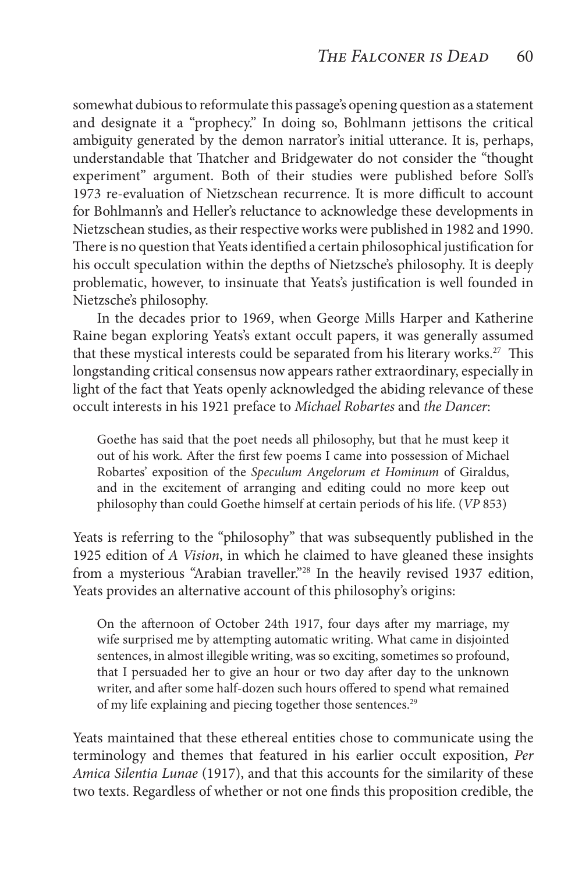somewhat dubious to reformulate this passage's opening question as a statement and designate it a "prophecy." In doing so, Bohlmann jettisons the critical ambiguity generated by the demon narrator's initial utterance. It is, perhaps, understandable that Thatcher and Bridgewater do not consider the "thought experiment" argument. Both of their studies were published before Soll's 1973 re-evaluation of Nietzschean recurrence. It is more difficult to account for Bohlmann's and Heller's reluctance to acknowledge these developments in Nietzschean studies, as their respective works were published in 1982 and 1990. There is no question that Yeats identified a certain philosophical justification for his occult speculation within the depths of Nietzsche's philosophy. It is deeply problematic, however, to insinuate that Yeats's justification is well founded in Nietzsche's philosophy.

In the decades prior to 1969, when George Mills Harper and Katherine Raine began exploring Yeats's extant occult papers, it was generally assumed that these mystical interests could be separated from his literary works.<sup>27</sup> This longstanding critical consensus now appears rather extraordinary, especially in light of the fact that Yeats openly acknowledged the abiding relevance of these occult interests in his 1921 preface to *Michael Robartes* and *the Dancer*:

Goethe has said that the poet needs all philosophy, but that he must keep it out of his work. After the first few poems I came into possession of Michael Robartes' exposition of the *Speculum Angelorum et Hominum* of Giraldus, and in the excitement of arranging and editing could no more keep out philosophy than could Goethe himself at certain periods of his life. (*VP* 853)

Yeats is referring to the "philosophy" that was subsequently published in the 1925 edition of *A Vision*, in which he claimed to have gleaned these insights from a mysterious "Arabian traveller."<sup>28</sup> In the heavily revised 1937 edition, Yeats provides an alternative account of this philosophy's origins:

On the afternoon of October 24th 1917, four days after my marriage, my wife surprised me by attempting automatic writing. What came in disjointed sentences, in almost illegible writing, was so exciting, sometimes so profound, that I persuaded her to give an hour or two day after day to the unknown writer, and after some half-dozen such hours offered to spend what remained of my life explaining and piecing together those sentences.<sup>29</sup>

Yeats maintained that these ethereal entities chose to communicate using the terminology and themes that featured in his earlier occult exposition, *Per Amica Silentia Lunae* (1917), and that this accounts for the similarity of these two texts. Regardless of whether or not one finds this proposition credible, the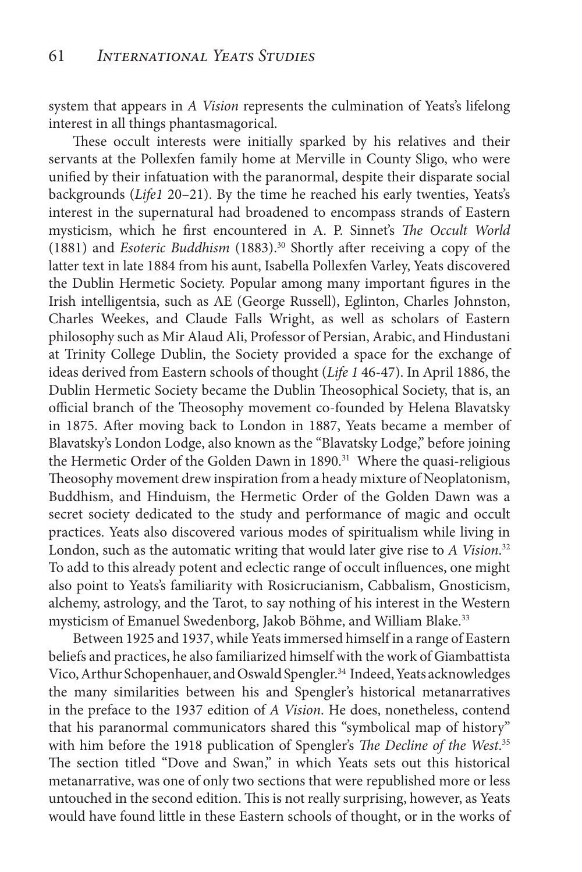system that appears in *A Vision* represents the culmination of Yeats's lifelong interest in all things phantasmagorical.

These occult interests were initially sparked by his relatives and their servants at the Pollexfen family home at Merville in County Sligo, who were unified by their infatuation with the paranormal, despite their disparate social backgrounds (*Life1* 20–21). By the time he reached his early twenties, Yeats's interest in the supernatural had broadened to encompass strands of Eastern mysticism, which he first encountered in A. P. Sinnet's *The Occult World*  (1881) and *Esoteric Buddhism* (1883).30 Shortly after receiving a copy of the latter text in late 1884 from his aunt, Isabella Pollexfen Varley, Yeats discovered the Dublin Hermetic Society. Popular among many important figures in the Irish intelligentsia, such as AE (George Russell), Eglinton, Charles Johnston, Charles Weekes, and Claude Falls Wright, as well as scholars of Eastern philosophy such as Mir Alaud Ali, Professor of Persian, Arabic, and Hindustani at Trinity College Dublin, the Society provided a space for the exchange of ideas derived from Eastern schools of thought (*Life 1* 46-47). In April 1886, the Dublin Hermetic Society became the Dublin Theosophical Society, that is, an official branch of the Theosophy movement co-founded by Helena Blavatsky in 1875. After moving back to London in 1887, Yeats became a member of Blavatsky's London Lodge, also known as the "Blavatsky Lodge," before joining the Hermetic Order of the Golden Dawn in 1890.<sup>31</sup> Where the quasi-religious Theosophy movement drew inspiration from a heady mixture of Neoplatonism, Buddhism, and Hinduism, the Hermetic Order of the Golden Dawn was a secret society dedicated to the study and performance of magic and occult practices. Yeats also discovered various modes of spiritualism while living in London, such as the automatic writing that would later give rise to *A Vision*. 32 To add to this already potent and eclectic range of occult influences, one might also point to Yeats's familiarity with Rosicrucianism, Cabbalism, Gnosticism, alchemy, astrology, and the Tarot, to say nothing of his interest in the Western mysticism of Emanuel Swedenborg, Jakob Böhme, and William Blake.<sup>33</sup>

Between 1925 and 1937, while Yeats immersed himself in a range of Eastern beliefs and practices, he also familiarized himself with the work of Giambattista Vico, Arthur Schopenhauer, and Oswald Spengler.<sup>34</sup> Indeed, Yeats acknowledges the many similarities between his and Spengler's historical metanarratives in the preface to the 1937 edition of *A Vision*. He does, nonetheless, contend that his paranormal communicators shared this "symbolical map of history" with him before the 1918 publication of Spengler's *The Decline of the West*. 35 The section titled "Dove and Swan," in which Yeats sets out this historical metanarrative, was one of only two sections that were republished more or less untouched in the second edition. This is not really surprising, however, as Yeats would have found little in these Eastern schools of thought, or in the works of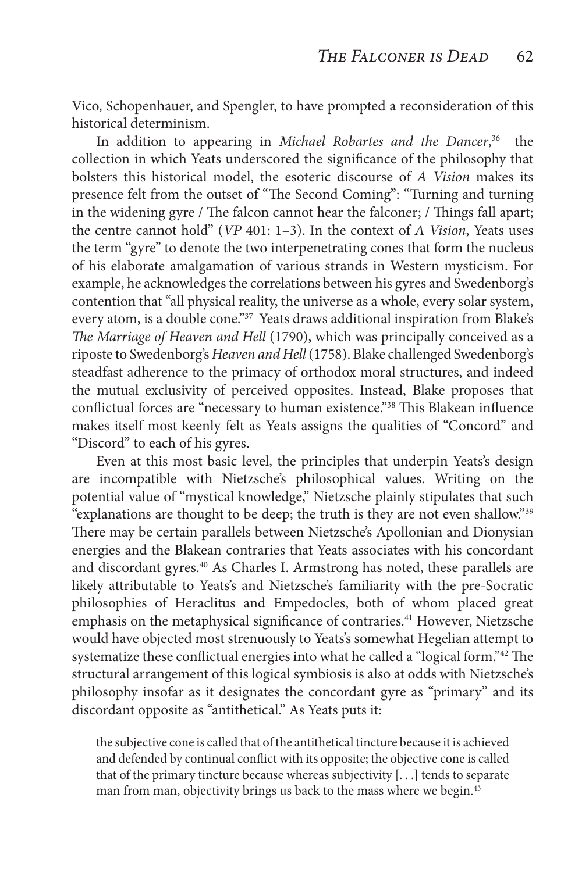Vico, Schopenhauer, and Spengler, to have prompted a reconsideration of this historical determinism.

In addition to appearing in *Michael Robartes and the Dancer*, 36 the collection in which Yeats underscored the significance of the philosophy that bolsters this historical model, the esoteric discourse of *A Vision* makes its presence felt from the outset of "The Second Coming": "Turning and turning in the widening gyre / The falcon cannot hear the falconer; / Things fall apart; the centre cannot hold" (*VP* 401: 1–3). In the context of *A Vision*, Yeats uses the term "gyre" to denote the two interpenetrating cones that form the nucleus of his elaborate amalgamation of various strands in Western mysticism. For example, he acknowledges the correlations between his gyres and Swedenborg's contention that "all physical reality, the universe as a whole, every solar system, every atom, is a double cone."<sup>37</sup> Yeats draws additional inspiration from Blake's *The Marriage of Heaven and Hell* (1790), which was principally conceived as a riposte to Swedenborg's *Heaven and Hell* (1758). Blake challenged Swedenborg's steadfast adherence to the primacy of orthodox moral structures, and indeed the mutual exclusivity of perceived opposites. Instead, Blake proposes that conflictual forces are "necessary to human existence."38 This Blakean influence makes itself most keenly felt as Yeats assigns the qualities of "Concord" and "Discord" to each of his gyres.

Even at this most basic level, the principles that underpin Yeats's design are incompatible with Nietzsche's philosophical values. Writing on the potential value of "mystical knowledge," Nietzsche plainly stipulates that such "explanations are thought to be deep; the truth is they are not even shallow."39 There may be certain parallels between Nietzsche's Apollonian and Dionysian energies and the Blakean contraries that Yeats associates with his concordant and discordant gyres.<sup>40</sup> As Charles I. Armstrong has noted, these parallels are likely attributable to Yeats's and Nietzsche's familiarity with the pre-Socratic philosophies of Heraclitus and Empedocles, both of whom placed great emphasis on the metaphysical significance of contraries.<sup>41</sup> However, Nietzsche would have objected most strenuously to Yeats's somewhat Hegelian attempt to systematize these conflictual energies into what he called a "logical form."42 The structural arrangement of this logical symbiosis is also at odds with Nietzsche's philosophy insofar as it designates the concordant gyre as "primary" and its discordant opposite as "antithetical." As Yeats puts it:

the subjective cone is called that of the antithetical tincture because it is achieved and defended by continual conflict with its opposite; the objective cone is called that of the primary tincture because whereas subjectivity [. . .] tends to separate man from man, objectivity brings us back to the mass where we begin.<sup>43</sup>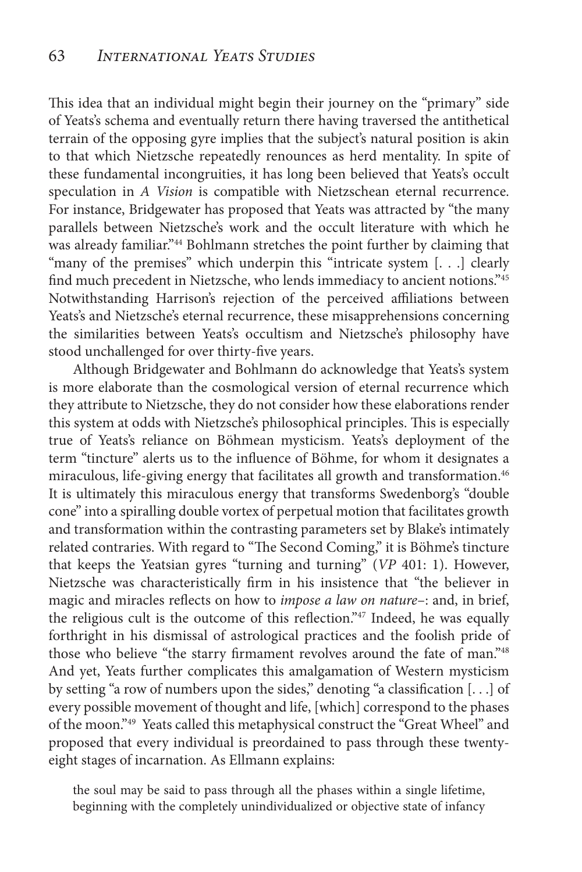This idea that an individual might begin their journey on the "primary" side of Yeats's schema and eventually return there having traversed the antithetical terrain of the opposing gyre implies that the subject's natural position is akin to that which Nietzsche repeatedly renounces as herd mentality. In spite of these fundamental incongruities, it has long been believed that Yeats's occult speculation in *A Vision* is compatible with Nietzschean eternal recurrence. For instance, Bridgewater has proposed that Yeats was attracted by "the many parallels between Nietzsche's work and the occult literature with which he was already familiar."44 Bohlmann stretches the point further by claiming that "many of the premises" which underpin this "intricate system [. . .] clearly find much precedent in Nietzsche, who lends immediacy to ancient notions."45 Notwithstanding Harrison's rejection of the perceived affiliations between Yeats's and Nietzsche's eternal recurrence, these misapprehensions concerning the similarities between Yeats's occultism and Nietzsche's philosophy have stood unchallenged for over thirty-five years.

Although Bridgewater and Bohlmann do acknowledge that Yeats's system is more elaborate than the cosmological version of eternal recurrence which they attribute to Nietzsche, they do not consider how these elaborations render this system at odds with Nietzsche's philosophical principles. This is especially true of Yeats's reliance on Böhmean mysticism. Yeats's deployment of the term "tincture" alerts us to the influence of Böhme, for whom it designates a miraculous, life-giving energy that facilitates all growth and transformation.<sup>46</sup> It is ultimately this miraculous energy that transforms Swedenborg's "double cone" into a spiralling double vortex of perpetual motion that facilitates growth and transformation within the contrasting parameters set by Blake's intimately related contraries. With regard to "The Second Coming," it is Böhme's tincture that keeps the Yeatsian gyres "turning and turning" (*VP* 401: 1). However, Nietzsche was characteristically firm in his insistence that "the believer in magic and miracles reflects on how to *impose a law on nature*–: and, in brief, the religious cult is the outcome of this reflection."47 Indeed, he was equally forthright in his dismissal of astrological practices and the foolish pride of those who believe "the starry firmament revolves around the fate of man."<sup>48</sup> And yet, Yeats further complicates this amalgamation of Western mysticism by setting "a row of numbers upon the sides," denoting "a classification [. . .] of every possible movement of thought and life, [which] correspond to the phases of the moon."49 Yeats called this metaphysical construct the "Great Wheel" and proposed that every individual is preordained to pass through these twentyeight stages of incarnation. As Ellmann explains:

the soul may be said to pass through all the phases within a single lifetime, beginning with the completely unindividualized or objective state of infancy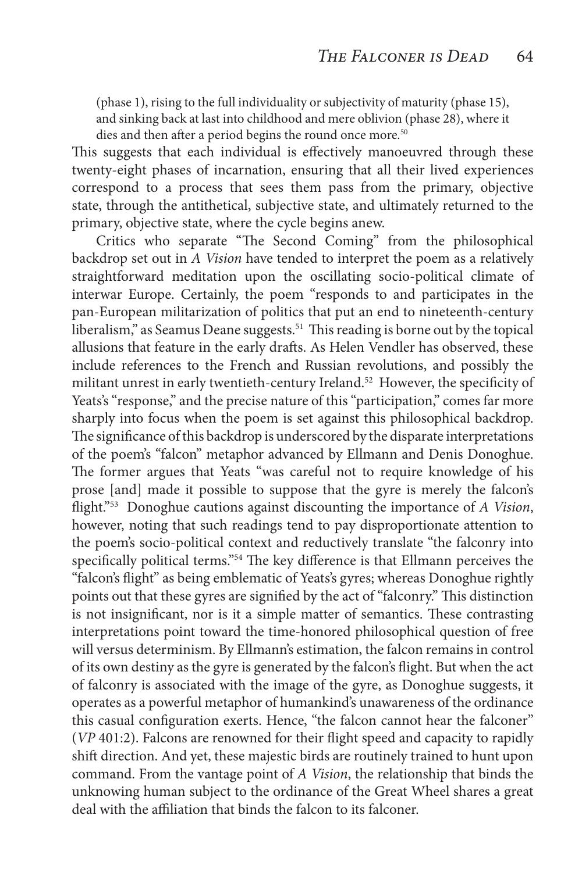(phase 1), rising to the full individuality or subjectivity of maturity (phase 15), and sinking back at last into childhood and mere oblivion (phase 28), where it dies and then after a period begins the round once more.<sup>50</sup>

This suggests that each individual is effectively manoeuvred through these twenty-eight phases of incarnation, ensuring that all their lived experiences correspond to a process that sees them pass from the primary, objective state, through the antithetical, subjective state, and ultimately returned to the primary, objective state, where the cycle begins anew.

Critics who separate "The Second Coming" from the philosophical backdrop set out in *A Vision* have tended to interpret the poem as a relatively straightforward meditation upon the oscillating socio-political climate of interwar Europe. Certainly, the poem "responds to and participates in the pan-European militarization of politics that put an end to nineteenth-century liberalism," as Seamus Deane suggests.51 This reading is borne out by the topical allusions that feature in the early drafts. As Helen Vendler has observed, these include references to the French and Russian revolutions, and possibly the militant unrest in early twentieth-century Ireland.<sup>52</sup> However, the specificity of Yeats's "response," and the precise nature of this "participation," comes far more sharply into focus when the poem is set against this philosophical backdrop. The significance of this backdrop is underscored by the disparate interpretations of the poem's "falcon" metaphor advanced by Ellmann and Denis Donoghue. The former argues that Yeats "was careful not to require knowledge of his prose [and] made it possible to suppose that the gyre is merely the falcon's flight."53 Donoghue cautions against discounting the importance of *A Vision*, however, noting that such readings tend to pay disproportionate attention to the poem's socio-political context and reductively translate "the falconry into specifically political terms."54 The key difference is that Ellmann perceives the "falcon's flight" as being emblematic of Yeats's gyres; whereas Donoghue rightly points out that these gyres are signified by the act of "falconry." This distinction is not insignificant, nor is it a simple matter of semantics. These contrasting interpretations point toward the time-honored philosophical question of free will versus determinism. By Ellmann's estimation, the falcon remains in control of its own destiny as the gyre is generated by the falcon's flight. But when the act of falconry is associated with the image of the gyre, as Donoghue suggests, it operates as a powerful metaphor of humankind's unawareness of the ordinance this casual configuration exerts. Hence, "the falcon cannot hear the falconer" (*VP* 401:2). Falcons are renowned for their flight speed and capacity to rapidly shift direction. And yet, these majestic birds are routinely trained to hunt upon command. From the vantage point of *A Vision*, the relationship that binds the unknowing human subject to the ordinance of the Great Wheel shares a great deal with the affiliation that binds the falcon to its falconer.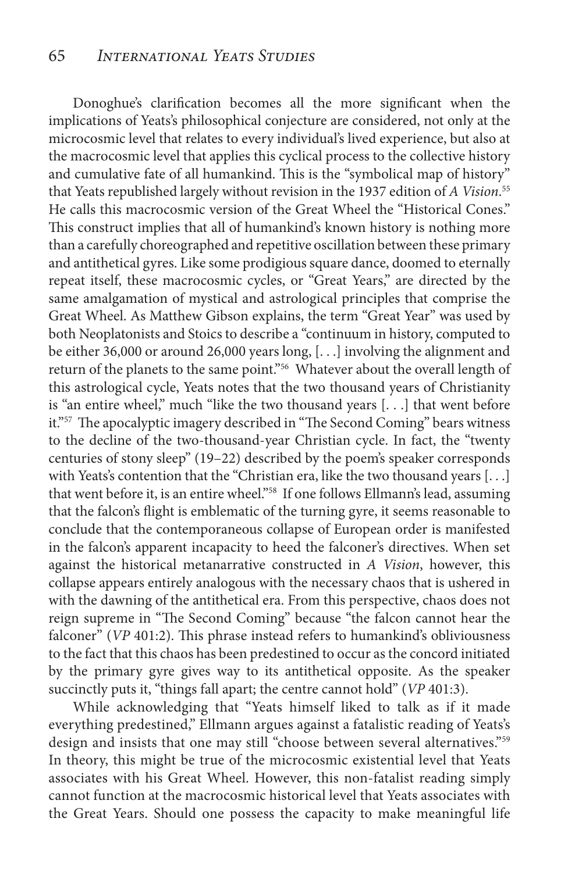Donoghue's clarification becomes all the more significant when the implications of Yeats's philosophical conjecture are considered, not only at the microcosmic level that relates to every individual's lived experience, but also at the macrocosmic level that applies this cyclical process to the collective history and cumulative fate of all humankind. This is the "symbolical map of history" that Yeats republished largely without revision in the 1937 edition of *A Vision*. 55 He calls this macrocosmic version of the Great Wheel the "Historical Cones." This construct implies that all of humankind's known history is nothing more than a carefully choreographed and repetitive oscillation between these primary and antithetical gyres. Like some prodigious square dance, doomed to eternally repeat itself, these macrocosmic cycles, or "Great Years," are directed by the same amalgamation of mystical and astrological principles that comprise the Great Wheel. As Matthew Gibson explains, the term "Great Year" was used by both Neoplatonists and Stoics to describe a "continuum in history, computed to be either 36,000 or around 26,000 years long, [. . .] involving the alignment and return of the planets to the same point."56 Whatever about the overall length of this astrological cycle, Yeats notes that the two thousand years of Christianity is "an entire wheel," much "like the two thousand years [. . .] that went before it."<sup>57</sup> The apocalyptic imagery described in "The Second Coming" bears witness to the decline of the two-thousand-year Christian cycle. In fact, the "twenty centuries of stony sleep" (19–22) described by the poem's speaker corresponds with Yeats's contention that the "Christian era, like the two thousand years [...] that went before it, is an entire wheel."58 If one follows Ellmann's lead, assuming that the falcon's flight is emblematic of the turning gyre, it seems reasonable to conclude that the contemporaneous collapse of European order is manifested in the falcon's apparent incapacity to heed the falconer's directives. When set against the historical metanarrative constructed in *A Vision*, however, this collapse appears entirely analogous with the necessary chaos that is ushered in with the dawning of the antithetical era. From this perspective, chaos does not reign supreme in "The Second Coming" because "the falcon cannot hear the falconer" (*VP* 401:2). This phrase instead refers to humankind's obliviousness to the fact that this chaos has been predestined to occur as the concord initiated by the primary gyre gives way to its antithetical opposite. As the speaker succinctly puts it, "things fall apart; the centre cannot hold" (*VP* 401:3).

While acknowledging that "Yeats himself liked to talk as if it made everything predestined," Ellmann argues against a fatalistic reading of Yeats's design and insists that one may still "choose between several alternatives."<sup>59</sup> In theory, this might be true of the microcosmic existential level that Yeats associates with his Great Wheel. However, this non-fatalist reading simply cannot function at the macrocosmic historical level that Yeats associates with the Great Years. Should one possess the capacity to make meaningful life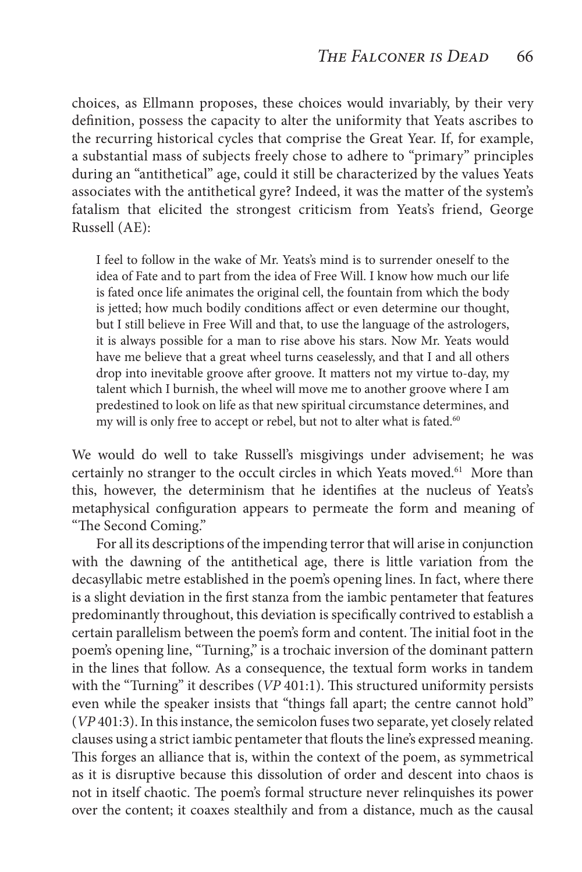choices, as Ellmann proposes, these choices would invariably, by their very definition, possess the capacity to alter the uniformity that Yeats ascribes to the recurring historical cycles that comprise the Great Year. If, for example, a substantial mass of subjects freely chose to adhere to "primary" principles during an "antithetical" age, could it still be characterized by the values Yeats associates with the antithetical gyre? Indeed, it was the matter of the system's fatalism that elicited the strongest criticism from Yeats's friend, George Russell (AE):

I feel to follow in the wake of Mr. Yeats's mind is to surrender oneself to the idea of Fate and to part from the idea of Free Will. I know how much our life is fated once life animates the original cell, the fountain from which the body is jetted; how much bodily conditions affect or even determine our thought, but I still believe in Free Will and that, to use the language of the astrologers, it is always possible for a man to rise above his stars. Now Mr. Yeats would have me believe that a great wheel turns ceaselessly, and that I and all others drop into inevitable groove after groove. It matters not my virtue to-day, my talent which I burnish, the wheel will move me to another groove where I am predestined to look on life as that new spiritual circumstance determines, and my will is only free to accept or rebel, but not to alter what is fated.<sup>60</sup>

We would do well to take Russell's misgivings under advisement; he was certainly no stranger to the occult circles in which Yeats moved.<sup>61</sup> More than this, however, the determinism that he identifies at the nucleus of Yeats's metaphysical configuration appears to permeate the form and meaning of "The Second Coming."

For all its descriptions of the impending terror that will arise in conjunction with the dawning of the antithetical age, there is little variation from the decasyllabic metre established in the poem's opening lines. In fact, where there is a slight deviation in the first stanza from the iambic pentameter that features predominantly throughout, this deviation is specifically contrived to establish a certain parallelism between the poem's form and content. The initial foot in the poem's opening line, "Turning," is a trochaic inversion of the dominant pattern in the lines that follow. As a consequence, the textual form works in tandem with the "Turning" it describes (*VP* 401:1). This structured uniformity persists even while the speaker insists that "things fall apart; the centre cannot hold" (*VP* 401:3). In this instance, the semicolon fuses two separate, yet closely related clauses using a strict iambic pentameter that flouts the line's expressed meaning. This forges an alliance that is, within the context of the poem, as symmetrical as it is disruptive because this dissolution of order and descent into chaos is not in itself chaotic. The poem's formal structure never relinquishes its power over the content; it coaxes stealthily and from a distance, much as the causal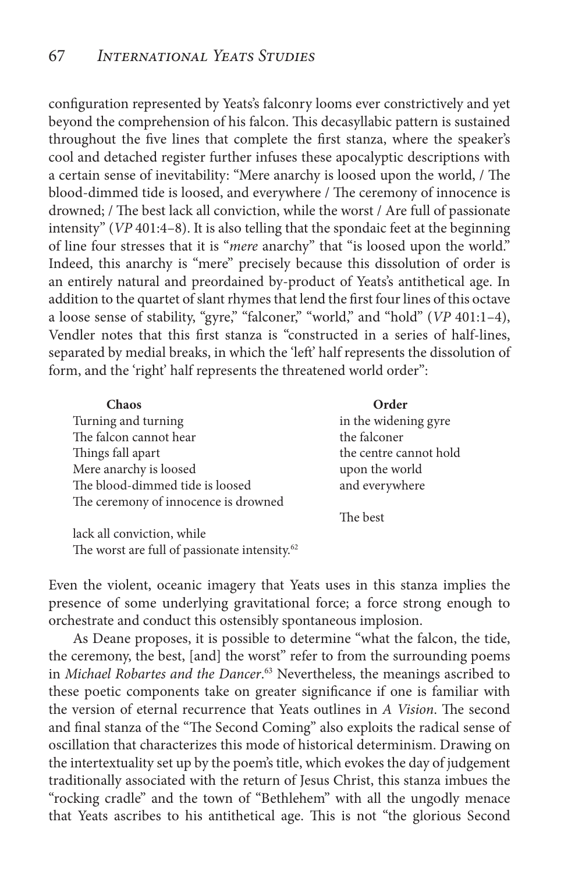configuration represented by Yeats's falconry looms ever constrictively and yet beyond the comprehension of his falcon. This decasyllabic pattern is sustained throughout the five lines that complete the first stanza, where the speaker's cool and detached register further infuses these apocalyptic descriptions with a certain sense of inevitability: "Mere anarchy is loosed upon the world, / The blood-dimmed tide is loosed, and everywhere / The ceremony of innocence is drowned; / The best lack all conviction, while the worst / Are full of passionate intensity" (*VP* 401:4–8). It is also telling that the spondaic feet at the beginning of line four stresses that it is "*mere* anarchy" that "is loosed upon the world." Indeed, this anarchy is "mere" precisely because this dissolution of order is an entirely natural and preordained by-product of Yeats's antithetical age. In addition to the quartet of slant rhymes that lend the first four lines of this octave a loose sense of stability, "gyre," "falconer," "world," and "hold" (*VP* 401:1–4), Vendler notes that this first stanza is "constructed in a series of half-lines, separated by medial breaks, in which the 'left' half represents the dissolution of form, and the 'right' half represents the threatened world order":

| Chaos                                | Order                  |
|--------------------------------------|------------------------|
| Turning and turning                  | in the widening gyre   |
| The falcon cannot hear               | the falconer           |
| Things fall apart                    | the centre cannot hold |
| Mere anarchy is loosed               | upon the world         |
| The blood-dimmed tide is loosed      | and everywhere         |
| The ceremony of innocence is drowned |                        |
|                                      | The best               |

lack all conviction, while The worst are full of passionate intensity.<sup>62</sup>

Even the violent, oceanic imagery that Yeats uses in this stanza implies the presence of some underlying gravitational force; a force strong enough to orchestrate and conduct this ostensibly spontaneous implosion.

As Deane proposes, it is possible to determine "what the falcon, the tide, the ceremony, the best, [and] the worst" refer to from the surrounding poems in *Michael Robartes and the Dancer*. 63 Nevertheless, the meanings ascribed to these poetic components take on greater significance if one is familiar with the version of eternal recurrence that Yeats outlines in *A Vision*. The second and final stanza of the "The Second Coming" also exploits the radical sense of oscillation that characterizes this mode of historical determinism. Drawing on the intertextuality set up by the poem's title, which evokes the day of judgement traditionally associated with the return of Jesus Christ, this stanza imbues the "rocking cradle" and the town of "Bethlehem" with all the ungodly menace that Yeats ascribes to his antithetical age. This is not "the glorious Second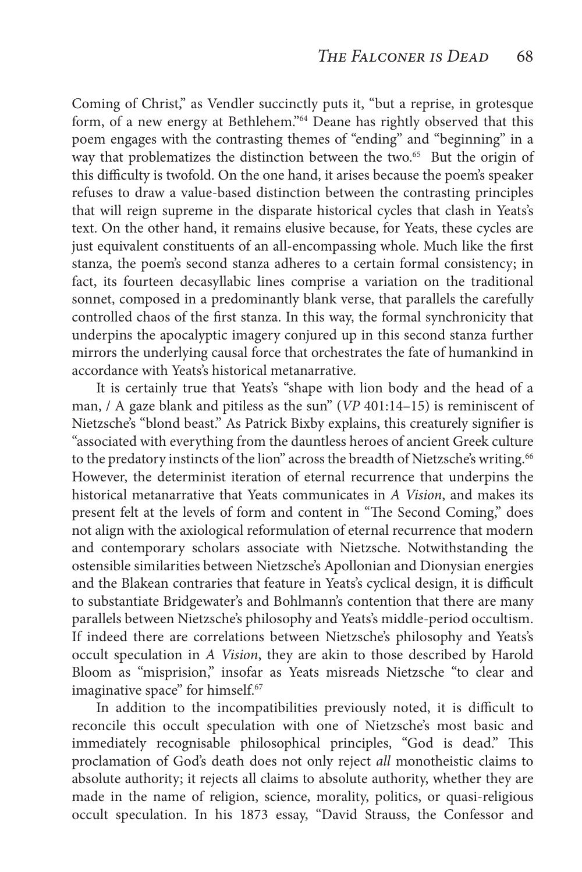Coming of Christ," as Vendler succinctly puts it, "but a reprise, in grotesque form, of a new energy at Bethlehem."<sup>64</sup> Deane has rightly observed that this poem engages with the contrasting themes of "ending" and "beginning" in a way that problematizes the distinction between the two.<sup>65</sup> But the origin of this difficulty is twofold. On the one hand, it arises because the poem's speaker refuses to draw a value-based distinction between the contrasting principles that will reign supreme in the disparate historical cycles that clash in Yeats's text. On the other hand, it remains elusive because, for Yeats, these cycles are just equivalent constituents of an all-encompassing whole. Much like the first stanza, the poem's second stanza adheres to a certain formal consistency; in fact, its fourteen decasyllabic lines comprise a variation on the traditional sonnet, composed in a predominantly blank verse, that parallels the carefully controlled chaos of the first stanza. In this way, the formal synchronicity that underpins the apocalyptic imagery conjured up in this second stanza further mirrors the underlying causal force that orchestrates the fate of humankind in accordance with Yeats's historical metanarrative.

It is certainly true that Yeats's "shape with lion body and the head of a man, / A gaze blank and pitiless as the sun" (*VP* 401:14–15) is reminiscent of Nietzsche's "blond beast." As Patrick Bixby explains, this creaturely signifier is "associated with everything from the dauntless heroes of ancient Greek culture to the predatory instincts of the lion" across the breadth of Nietzsche's writing.<sup>66</sup> However, the determinist iteration of eternal recurrence that underpins the historical metanarrative that Yeats communicates in *A Vision*, and makes its present felt at the levels of form and content in "The Second Coming," does not align with the axiological reformulation of eternal recurrence that modern and contemporary scholars associate with Nietzsche. Notwithstanding the ostensible similarities between Nietzsche's Apollonian and Dionysian energies and the Blakean contraries that feature in Yeats's cyclical design, it is difficult to substantiate Bridgewater's and Bohlmann's contention that there are many parallels between Nietzsche's philosophy and Yeats's middle-period occultism. If indeed there are correlations between Nietzsche's philosophy and Yeats's occult speculation in *A Vision*, they are akin to those described by Harold Bloom as "misprision," insofar as Yeats misreads Nietzsche "to clear and imaginative space" for himself.<sup>67</sup>

In addition to the incompatibilities previously noted, it is difficult to reconcile this occult speculation with one of Nietzsche's most basic and immediately recognisable philosophical principles, "God is dead." This proclamation of God's death does not only reject *all* monotheistic claims to absolute authority; it rejects all claims to absolute authority, whether they are made in the name of religion, science, morality, politics, or quasi-religious occult speculation. In his 1873 essay, "David Strauss, the Confessor and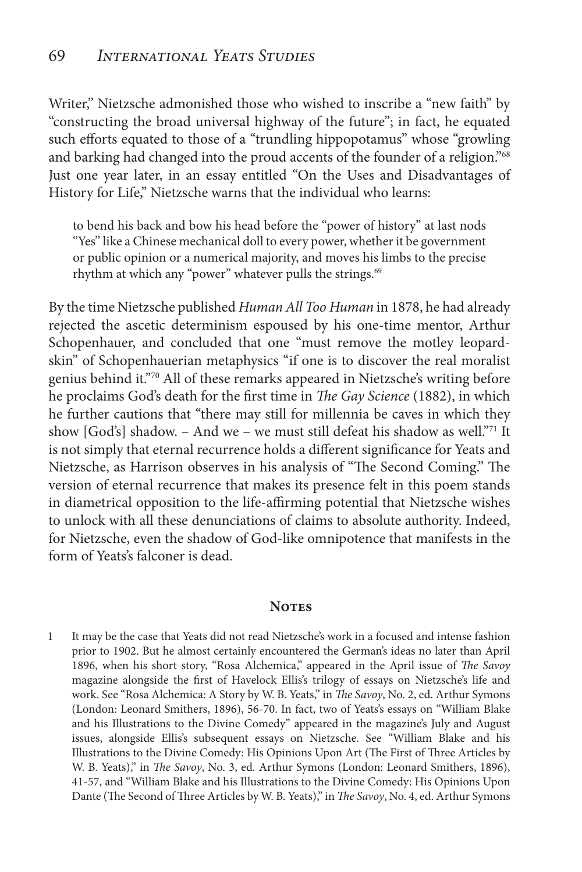Writer," Nietzsche admonished those who wished to inscribe a "new faith" by "constructing the broad universal highway of the future"; in fact, he equated such efforts equated to those of a "trundling hippopotamus" whose "growling and barking had changed into the proud accents of the founder of a religion."68 Just one year later, in an essay entitled "On the Uses and Disadvantages of History for Life," Nietzsche warns that the individual who learns:

to bend his back and bow his head before the "power of history" at last nods "Yes" like a Chinese mechanical doll to every power, whether it be government or public opinion or a numerical majority, and moves his limbs to the precise rhythm at which any "power" whatever pulls the strings.<sup>69</sup>

By the time Nietzsche published *Human All Too Human* in 1878, he had already rejected the ascetic determinism espoused by his one-time mentor, Arthur Schopenhauer, and concluded that one "must remove the motley leopardskin" of Schopenhauerian metaphysics "if one is to discover the real moralist genius behind it."70 All of these remarks appeared in Nietzsche's writing before he proclaims God's death for the first time in *The Gay Science* (1882), in which he further cautions that "there may still for millennia be caves in which they show [God's] shadow. - And we - we must still defeat his shadow as well."<sup>71</sup> It is not simply that eternal recurrence holds a different significance for Yeats and Nietzsche, as Harrison observes in his analysis of "The Second Coming." The version of eternal recurrence that makes its presence felt in this poem stands in diametrical opposition to the life-affirming potential that Nietzsche wishes to unlock with all these denunciations of claims to absolute authority. Indeed, for Nietzsche, even the shadow of God-like omnipotence that manifests in the form of Yeats's falconer is dead.

#### **Notes**

1 It may be the case that Yeats did not read Nietzsche's work in a focused and intense fashion prior to 1902. But he almost certainly encountered the German's ideas no later than April 1896, when his short story, "Rosa Alchemica," appeared in the April issue of *The Savoy*  magazine alongside the first of Havelock Ellis's trilogy of essays on Nietzsche's life and work. See "Rosa Alchemica: A Story by W. B. Yeats," in *The Savoy*, No. 2, ed. Arthur Symons (London: Leonard Smithers, 1896), 56-70. In fact, two of Yeats's essays on "William Blake and his Illustrations to the Divine Comedy" appeared in the magazine's July and August issues, alongside Ellis's subsequent essays on Nietzsche. See "William Blake and his Illustrations to the Divine Comedy: His Opinions Upon Art (The First of Three Articles by W. B. Yeats)," in *The Savoy*, No. 3, ed. Arthur Symons (London: Leonard Smithers, 1896), 41-57, and "William Blake and his Illustrations to the Divine Comedy: His Opinions Upon Dante (The Second of Three Articles by W. B. Yeats)," in *The Savoy*, No. 4, ed. Arthur Symons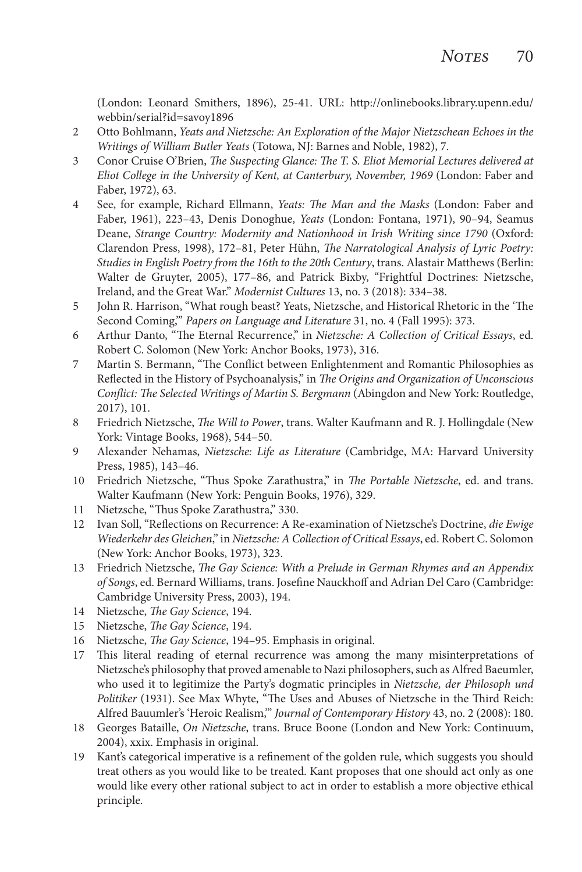(London: Leonard Smithers, 1896), 25-41. URL: http://onlinebooks.library.upenn.edu/ webbin/serial?id=savoy1896

- 2 Otto Bohlmann, *Yeats and Nietzsche: An Exploration of the Major Nietzschean Echoes in the Writings of William Butler Yeats* (Totowa, NJ: Barnes and Noble, 1982), 7.
- 3 Conor Cruise O'Brien, *The Suspecting Glance: The T. S. Eliot Memorial Lectures delivered at Eliot College in the University of Kent, at Canterbury, November, 1969* (London: Faber and Faber, 1972), 63.
- 4 See, for example, Richard Ellmann, *Yeats: The Man and the Masks* (London: Faber and Faber, 1961), 223–43, Denis Donoghue, *Yeats* (London: Fontana, 1971), 90–94, Seamus Deane, *Strange Country: Modernity and Nationhood in Irish Writing since 1790* (Oxford: Clarendon Press, 1998), 172–81, Peter Hühn, *The Narratological Analysis of Lyric Poetry: Studies in English Poetry from the 16th to the 20th Century*, trans. Alastair Matthews (Berlin: Walter de Gruyter, 2005), 177–86, and Patrick Bixby, "Frightful Doctrines: Nietzsche, Ireland, and the Great War." *Modernist Cultures* 13, no. 3 (2018): 334–38.
- 5 John R. Harrison, "What rough beast? Yeats, Nietzsche, and Historical Rhetoric in the 'The Second Coming,'" *Papers on Language and Literature* 31, no. 4 (Fall 1995): 373.
- 6 Arthur Danto, "The Eternal Recurrence," in *Nietzsche: A Collection of Critical Essays*, ed. Robert C. Solomon (New York: Anchor Books, 1973), 316.
- 7 Martin S. Bermann, "The Conflict between Enlightenment and Romantic Philosophies as Reflected in the History of Psychoanalysis," in *The Origins and Organization of Unconscious Conflict: The Selected Writings of Martin S. Bergmann* (Abingdon and New York: Routledge, 2017), 101.
- 8 Friedrich Nietzsche, *The Will to Power*, trans. Walter Kaufmann and R. J. Hollingdale (New York: Vintage Books, 1968), 544–50.
- 9 Alexander Nehamas, *Nietzsche: Life as Literature* (Cambridge, MA: Harvard University Press, 1985), 143–46.
- 10 Friedrich Nietzsche, "Thus Spoke Zarathustra," in *The Portable Nietzsche*, ed. and trans. Walter Kaufmann (New York: Penguin Books, 1976), 329.
- 11 Nietzsche, "Thus Spoke Zarathustra," 330.
- 12 Ivan Soll, "Reflections on Recurrence: A Re-examination of Nietzsche's Doctrine, *die Ewige Wiederkehr des Gleichen*," in *Nietzsche: A Collection of Critical Essays*, ed. Robert C. Solomon (New York: Anchor Books, 1973), 323.
- 13 Friedrich Nietzsche, *The Gay Science: With a Prelude in German Rhymes and an Appendix of Songs*, ed. Bernard Williams, trans. Josefine Nauckhoff and Adrian Del Caro (Cambridge: Cambridge University Press, 2003), 194.
- 14 Nietzsche, *The Gay Science*, 194.
- 15 Nietzsche, *The Gay Science*, 194.
- 16 Nietzsche, *The Gay Science*, 194–95. Emphasis in original.
- 17 This literal reading of eternal recurrence was among the many misinterpretations of Nietzsche's philosophy that proved amenable to Nazi philosophers, such as Alfred Baeumler, who used it to legitimize the Party's dogmatic principles in *Nietzsche, der Philosoph und Politiker* (1931). See Max Whyte, "The Uses and Abuses of Nietzsche in the Third Reich: Alfred Bauumler's 'Heroic Realism,'" *Journal of Contemporary History* 43, no. 2 (2008): 180.
- 18 Georges Bataille, *On Nietzsche*, trans. Bruce Boone (London and New York: Continuum, 2004), xxix. Emphasis in original.
- 19 Kant's categorical imperative is a refinement of the golden rule, which suggests you should treat others as you would like to be treated. Kant proposes that one should act only as one would like every other rational subject to act in order to establish a more objective ethical principle.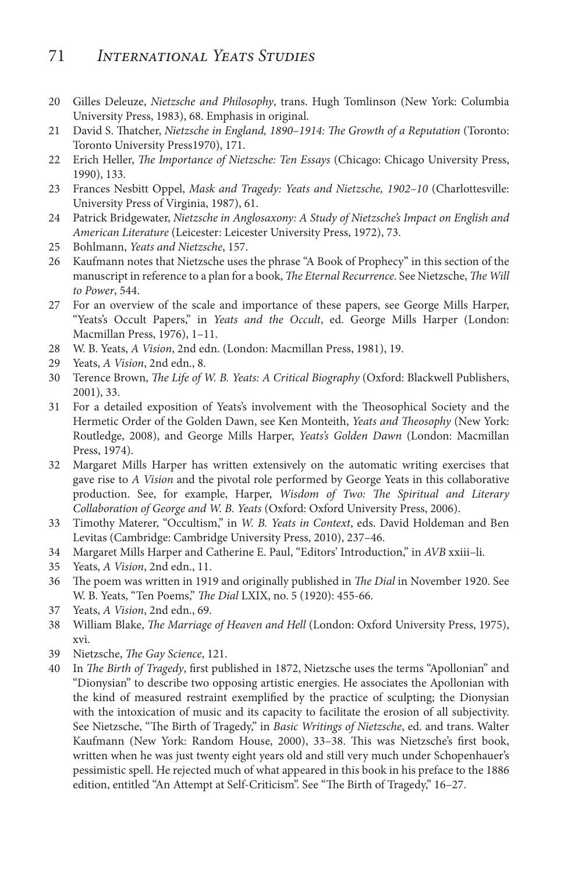## 71 *International Yeats Studies*

- 20 Gilles Deleuze, *Nietzsche and Philosophy*, trans. Hugh Tomlinson (New York: Columbia University Press, 1983), 68. Emphasis in original.
- 21 David S. Thatcher, *Nietzsche in England, 1890–1914: The Growth of a Reputation* (Toronto: Toronto University Press1970), 171.
- 22 Erich Heller, *The Importance of Nietzsche: Ten Essays* (Chicago: Chicago University Press, 1990), 133.
- 23 Frances Nesbitt Oppel, *Mask and Tragedy: Yeats and Nietzsche, 1902–10* (Charlottesville: University Press of Virginia, 1987), 61.
- 24 Patrick Bridgewater, *Nietzsche in Anglosaxony: A Study of Nietzsche's Impact on English and American Literature* (Leicester: Leicester University Press, 1972), 73.
- 25 Bohlmann, *Yeats and Nietzsche*, 157.
- 26 Kaufmann notes that Nietzsche uses the phrase "A Book of Prophecy" in this section of the manuscript in reference to a plan for a book, *The Eternal Recurrence*. See Nietzsche, *The Will to Power*, 544.
- 27 For an overview of the scale and importance of these papers, see George Mills Harper, "Yeats's Occult Papers," in *Yeats and the Occult*, ed. George Mills Harper (London: Macmillan Press, 1976), 1–11.
- 28 W. B. Yeats, *A Vision*, 2nd edn. (London: Macmillan Press, 1981), 19.
- 29 Yeats, *A Vision*, 2nd edn., 8.
- 30 Terence Brown, *The Life of W. B. Yeats: A Critical Biography* (Oxford: Blackwell Publishers, 2001), 33.
- 31 For a detailed exposition of Yeats's involvement with the Theosophical Society and the Hermetic Order of the Golden Dawn, see Ken Monteith, *Yeats and Theosophy* (New York: Routledge, 2008), and George Mills Harper, *Yeats's Golden Dawn* (London: Macmillan Press, 1974).
- 32 Margaret Mills Harper has written extensively on the automatic writing exercises that gave rise to *A Vision* and the pivotal role performed by George Yeats in this collaborative production. See, for example, Harper, *Wisdom of Two: The Spiritual and Literary Collaboration of George and W. B. Yeats* (Oxford: Oxford University Press, 2006).
- 33 Timothy Materer, "Occultism," in *W. B. Yeats in Context*, eds. David Holdeman and Ben Levitas (Cambridge: Cambridge University Press, 2010), 237–46.
- 34 Margaret Mills Harper and Catherine E. Paul, "Editors' Introduction," in *AVB* xxiii–li.
- 35 Yeats, *A Vision*, 2nd edn., 11.
- 36 The poem was written in 1919 and originally published in *The Dial* in November 1920. See W. B. Yeats, "Ten Poems," *The Dial* LXIX, no. 5 (1920): 455-66.
- 37 Yeats, *A Vision*, 2nd edn., 69.
- 38 William Blake, *The Marriage of Heaven and Hell* (London: Oxford University Press, 1975), xvi.
- 39 Nietzsche, *The Gay Science*, 121.
- 40 In *The Birth of Tragedy*, first published in 1872, Nietzsche uses the terms "Apollonian" and "Dionysian" to describe two opposing artistic energies. He associates the Apollonian with the kind of measured restraint exemplified by the practice of sculpting; the Dionysian with the intoxication of music and its capacity to facilitate the erosion of all subjectivity. See Nietzsche, "The Birth of Tragedy," in *Basic Writings of Nietzsche*, ed. and trans. Walter Kaufmann (New York: Random House, 2000), 33–38. This was Nietzsche's first book, written when he was just twenty eight years old and still very much under Schopenhauer's pessimistic spell. He rejected much of what appeared in this book in his preface to the 1886 edition, entitled "An Attempt at Self-Criticism". See "The Birth of Tragedy," 16–27.